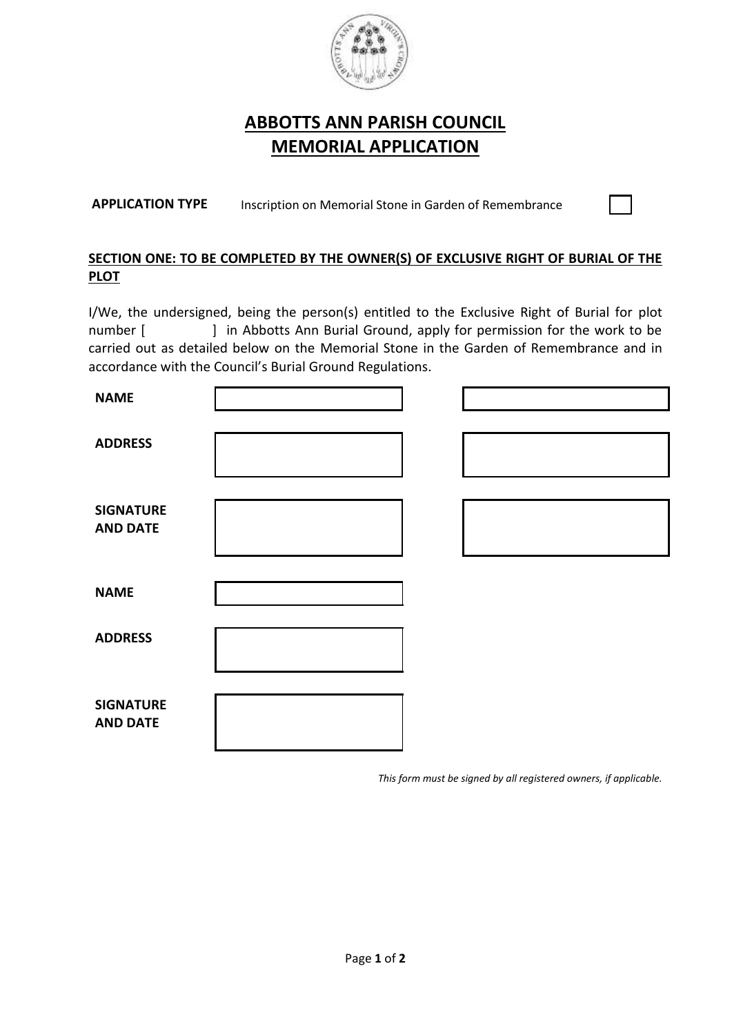

## **ABBOTTS ANN PARISH COUNCIL MEMORIAL APPLICATION**

**APPLICATION TYPE** Inscription on Memorial Stone in Garden of Remembrance

## **SECTION ONE: TO BE COMPLETED BY THE OWNER(S) OF EXCLUSIVE RIGHT OF BURIAL OF THE PLOT**

I/We, the undersigned, being the person(s) entitled to the Exclusive Right of Burial for plot number [ ] in Abbotts Ann Burial Ground, apply for permission for the work to be carried out as detailed below on the Memorial Stone in the Garden of Remembrance and in accordance with the Council's Burial Ground Regulations.

| <b>NAME</b>                         |  |  |
|-------------------------------------|--|--|
| <b>ADDRESS</b>                      |  |  |
| <b>SIGNATURE</b><br><b>AND DATE</b> |  |  |
| <b>NAME</b>                         |  |  |
| <b>ADDRESS</b>                      |  |  |
| <b>SIGNATURE</b><br><b>AND DATE</b> |  |  |

*This form must be signed by all registered owners, if applicable.*